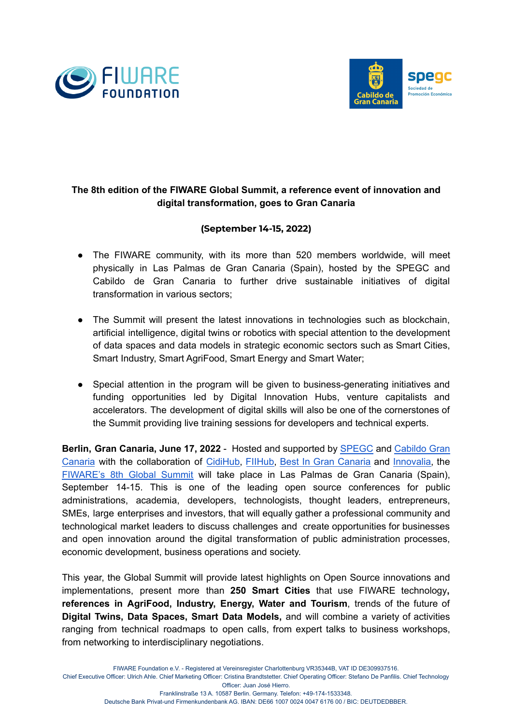



## **The 8th edition of the FIWARE Global Summit, a reference event of innovation and digital transformation, goes to Gran Canaria**

## **(September 14-15, 2022)**

- The FIWARE community, with its more than 520 members worldwide, will meet physically in Las Palmas de Gran Canaria (Spain), hosted by the SPEGC and Cabildo de Gran Canaria to further drive sustainable initiatives of digital transformation in various sectors;
- The Summit will present the latest innovations in technologies such as blockchain, artificial intelligence, digital twins or robotics with special attention to the development of data spaces and data models in strategic economic sectors such as Smart Cities, Smart Industry, Smart AgriFood, Smart Energy and Smart Water;
- Special attention in the program will be given to business-generating initiatives and funding opportunities led by Digital Innovation Hubs, venture capitalists and accelerators. The development of digital skills will also be one of the cornerstones of the Summit providing live training sessions for developers and technical experts.

**Berlin, Gran Canaria, June 17, 2022** - Hosted and supported by [SPEGC](https://www.spegc.org/) and [Cabildo](https://cabildo.grancanaria.com/) Gran [Canaria](https://cabildo.grancanaria.com/) with the collaboration of [CidiHub,](https://cidihub.org/) [FIIHub,](https://fiihub.cidihub.org/en/) Best In Gran [Canaria](https://bestingrancanaria.com/) and [Innovalia,](https://innovalia.org/en/) the [FIWARE's](https://www.fiware.org/global-summit/) 8th Global Summit will take place in Las Palmas de Gran Canaria (Spain), September 14-15. This is one of the leading open source conferences for public administrations, academia, developers, technologists, thought leaders, entrepreneurs, SMEs, large enterprises and investors, that will equally gather a professional community and technological market leaders to discuss challenges and create opportunities for businesses and open innovation around the digital transformation of public administration processes, economic development, business operations and society.

This year, the Global Summit will provide latest highlights on Open Source innovations and implementations, present more than **250 Smart Cities** that use FIWARE technology**, references in AgriFood, Industry, Energy, Water and Tourism**, trends of the future of **Digital Twins, Data Spaces, Smart Data Models,** and will combine a variety of activities ranging from technical roadmaps to open calls, from expert talks to business workshops, from networking to interdisciplinary negotiations.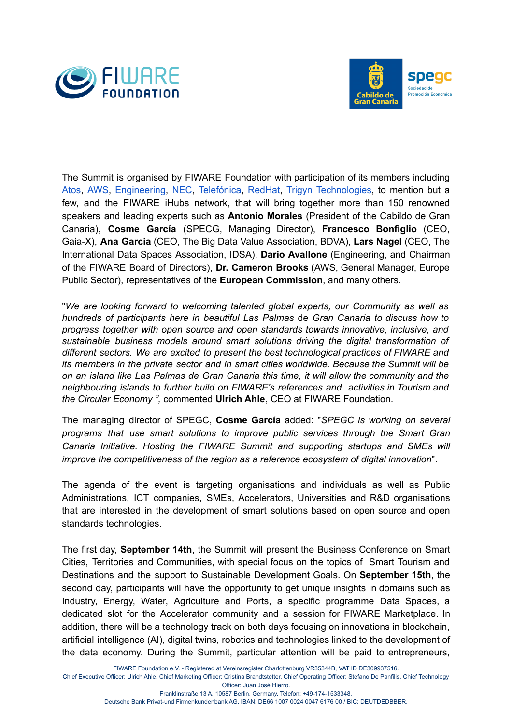



The Summit is organised by FIWARE Foundation with participation of its members including [Atos,](https://atos.net/en/) [AWS](https://aws.amazon.com/), [Engineering,](https://www.eng.it/en/) [NEC](https://www.nec.com/), [Telefónica](https://www.telefonica.com/en/), [RedHat](https://www.redhat.com/en), Trigyn [Technologies,](https://www.trigyn.com/) to mention but a few, and the FIWARE iHubs network, that will bring together more than 150 renowned speakers and leading experts such as **Antonio Morales** (President of the Cabildo de Gran Canaria), **Cosme García** (SPECG, Managing Director), **Francesco Bonfiglio** (CEO, Gaia-X), **Ana Garcia** (CEO, The Big Data Value Association, BDVA), **Lars Nagel** (CEO, The International Data Spaces Association, IDSA), **Dario Avallone** (Engineering, and Chairman of the FIWARE Board of Directors), **Dr. Cameron Brooks** (AWS, General Manager, Europe Public Sector), representatives of the **European Commission**, and many others.

"*We are looking forward to welcoming talented global experts, our Community as well as hundreds of participants here in beautiful Las Palmas* de *Gran Canaria to discuss how to progress together with open source and open standards towards innovative, inclusive, and sustainable business models around smart solutions driving the digital transformation of different sectors. We are excited to present the best technological practices of FIWARE and its members in the private sector and in smart cities worldwide. Because the Summit will be on an island like Las Palmas de Gran Canaria this time, it will allow the community and the neighbouring islands to further build on FIWARE's references and activities in Tourism and the Circular Economy ",* commented **Ulrich Ahle**, CEO at FIWARE Foundation.

The managing director of SPEGC, **Cosme García** added: "*SPEGC is working on several programs that use smart solutions to improve public services through the Smart Gran Canaria Initiative. Hosting the FIWARE Summit and supporting startups and SMEs will improve the competitiveness of the region as a reference ecosystem of digital innovation*".

The agenda of the event is targeting organisations and individuals as well as Public Administrations, ICT companies, SMEs, Accelerators, Universities and R&D organisations that are interested in the development of smart solutions based on open source and open standards technologies.

The first day, **September 14th**, the Summit will present the Business Conference on Smart Cities, Territories and Communities, with special focus on the topics of Smart Tourism and Destinations and the support to Sustainable Development Goals. On **September 15th**, the second day, participants will have the opportunity to get unique insights in domains such as Industry, Energy, Water, Agriculture and Ports, a specific programme Data Spaces, a dedicated slot for the Accelerator community and a session for FIWARE Marketplace. In addition, there will be a technology track on both days focusing on innovations in blockchain, artificial intelligence (AI), digital twins, robotics and technologies linked to the development of the data economy. During the Summit, particular attention will be paid to entrepreneurs,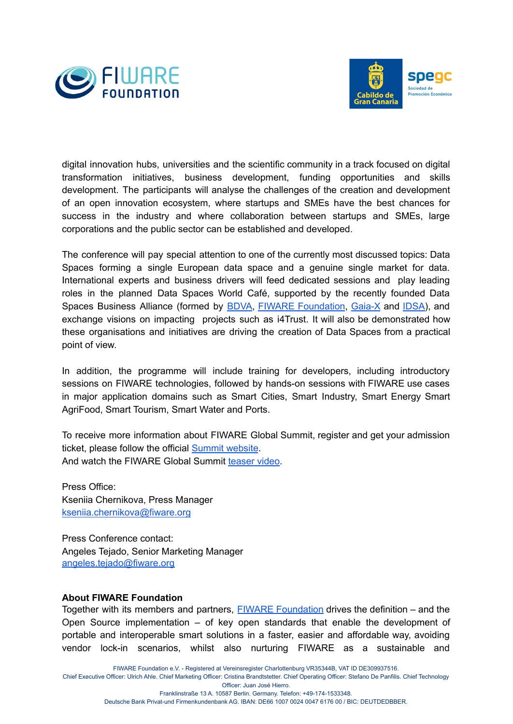



digital innovation hubs, universities and the scientific community in a track focused on digital transformation initiatives, business development, funding opportunities and skills development. The participants will analyse the challenges of the creation and development of an open innovation ecosystem, where startups and SMEs have the best chances for success in the industry and where collaboration between startups and SMEs, large corporations and the public sector can be established and developed.

The conference will pay special attention to one of the currently most discussed topics: Data Spaces forming a single European data space and a genuine single market for data. International experts and business drivers will feed dedicated sessions and play leading roles in the planned Data Spaces World Café, supported by the recently founded Data Spaces Business Alliance (formed by [BDVA](https://www.bdva.eu/), FIWARE [Foundation](https://www.fiware.org/), [Gaia-X](https://www.data-infrastructure.eu/GAIAX/Navigation/EN/Home/home.html) and [IDSA\)](https://internationaldataspaces.org/), and exchange visions on impacting projects such as i4Trust. It will also be demonstrated how these organisations and initiatives are driving the creation of Data Spaces from a practical point of view.

In addition, the programme will include training for developers, including introductory sessions on FIWARE technologies, followed by hands-on sessions with FIWARE use cases in major application domains such as Smart Cities, Smart Industry, Smart Energy Smart AgriFood, Smart Tourism, Smart Water and Ports.

To receive more information about FIWARE Global Summit, register and get your admission ticket, please follow the official Summit [website](https://www.fiware.org/global-summit/). And watch the FIWARE Global Summit [teaser](https://www.youtube.com/watch?v=ZOVT1sxiIFI) video.

Press Office: Kseniia Chernikova, Press Manager [kseniia.chernikova@fiware.org](mailto:kseniia.chernikova@fiware.org)

Press Conference contact: Angeles Tejado, Senior Marketing Manager [angeles.tejado@fiware.org](mailto:angeles.tejado@fiware.org)

## **About FIWARE Foundation**

Together with its members and partners, FIWARE [Foundation](https://www.fiware.org/) drives the definition – and the Open Source implementation – of key open standards that enable the development of portable and interoperable smart solutions in a faster, easier and affordable way, avoiding vendor lock-in scenarios, whilst also nurturing FIWARE as a sustainable and